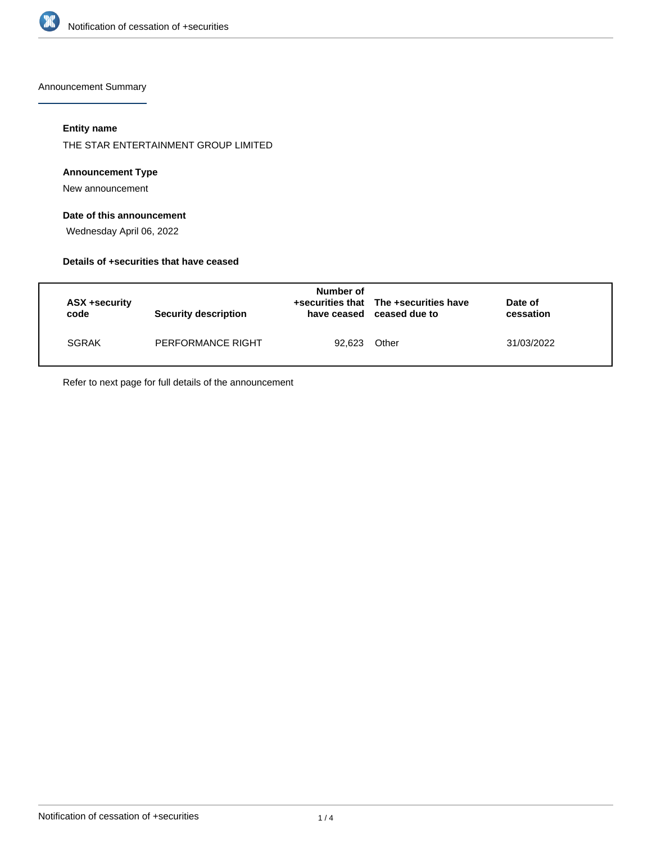

Announcement Summary

## **Entity name**

THE STAR ENTERTAINMENT GROUP LIMITED

#### **Announcement Type**

New announcement

## **Date of this announcement**

Wednesday April 06, 2022

#### **Details of +securities that have ceased**

| ASX +security<br>code | <b>Security description</b> | Number of | +securities that The +securities have<br>have ceased ceased due to | Date of<br>cessation |
|-----------------------|-----------------------------|-----------|--------------------------------------------------------------------|----------------------|
| SGRAK                 | PERFORMANCE RIGHT           | 92.623    | Other                                                              | 31/03/2022           |

Refer to next page for full details of the announcement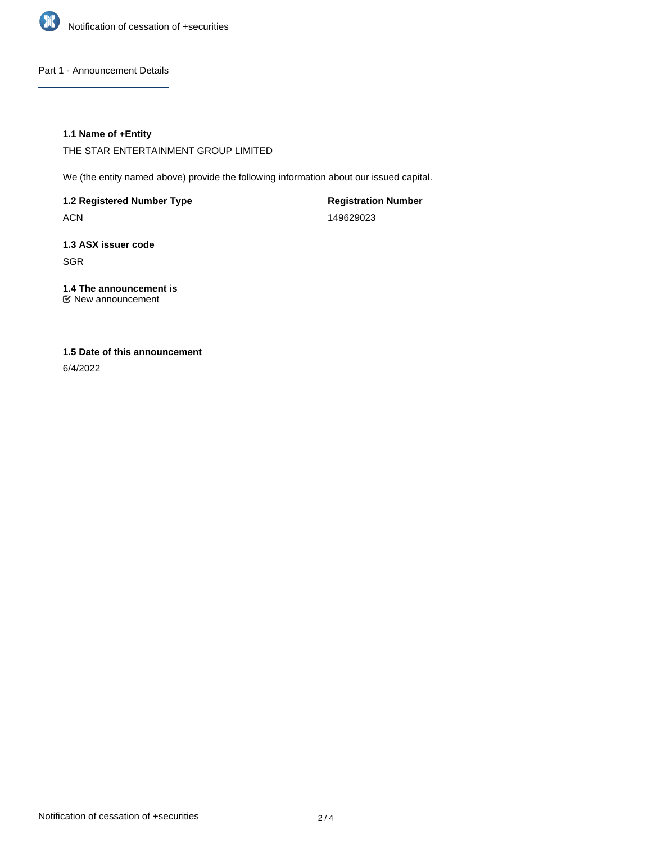

#### Part 1 - Announcement Details

#### **1.1 Name of +Entity**

THE STAR ENTERTAINMENT GROUP LIMITED

We (the entity named above) provide the following information about our issued capital.

**1.2 Registered Number Type**

ACN

**Registration Number** 149629023

**1.3 ASX issuer code** SGR

**1.4 The announcement is** New announcement

# **1.5 Date of this announcement**

6/4/2022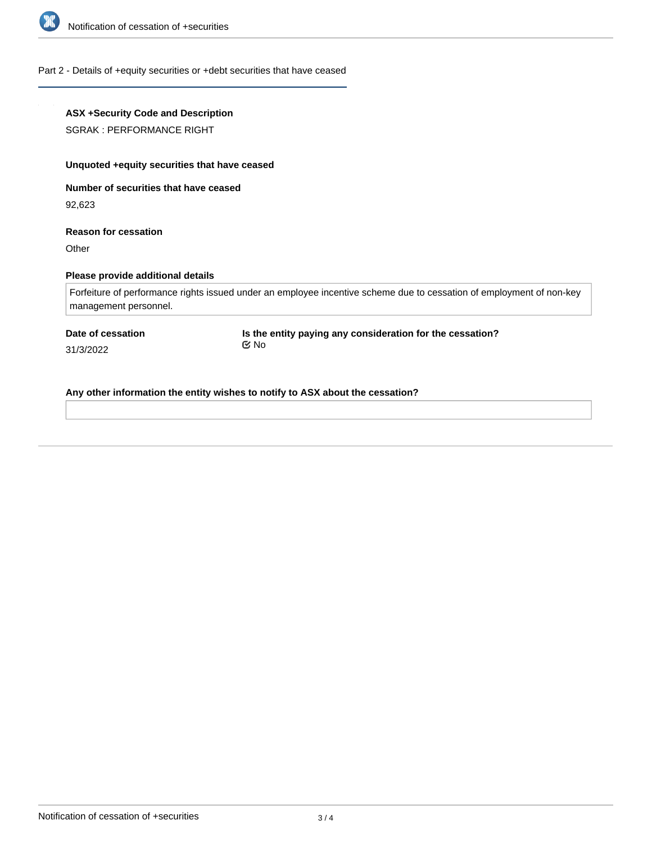

#### Part 2 - Details of +equity securities or +debt securities that have ceased

# **ASX +Security Code and Description** SGRAK : PERFORMANCE RIGHT **Unquoted +equity securities that have ceased Number of securities that have ceased** 92,623 **Reason for cessation Other Please provide additional details** Forfeiture of performance rights issued under an employee incentive scheme due to cessation of employment of non-key management personnel. **Date of cessation** 31/3/2022 **Is the entity paying any consideration for the cessation?** No

**Any other information the entity wishes to notify to ASX about the cessation?**